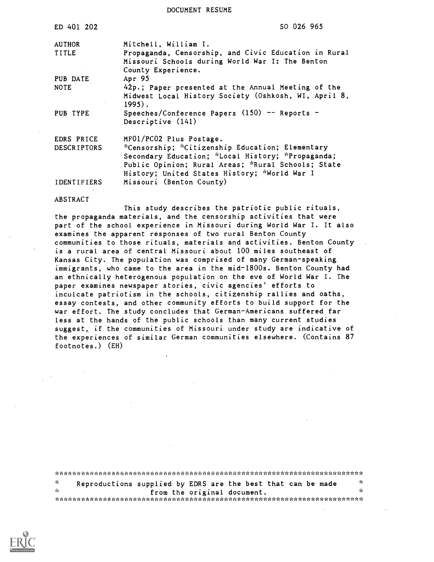DOCUMENT RESUME

| ED 401 202         | SO 026 965                                                                                                                                                                                                 |
|--------------------|------------------------------------------------------------------------------------------------------------------------------------------------------------------------------------------------------------|
| <b>AUTHOR</b>      | Mitchell, William I.                                                                                                                                                                                       |
| <b>TITLE</b>       | Propaganda, Censorship, and Civic Education in Rural<br>Missouri Schools during World War I: The Benton<br>County Experience.                                                                              |
| PUB DATE           | Apr 95                                                                                                                                                                                                     |
| <b>NOTE</b>        | 42p.; Paper presented at the Annual Meeting of the<br>Midwest Local History Society (Oshkosh, WI, April 8,<br>$1995$ .                                                                                     |
| PUB TYPE           | Speeches/Conference Papers $(150)$ -- Reports -<br>Descriptive (141)                                                                                                                                       |
| EDRS PRICE         | MF01/PC02 Plus Postage.                                                                                                                                                                                    |
| <b>DESCRIPTORS</b> | *Censorship; *Citizenship Education; Elementary<br>Secondary Education; *Local History; *Propaganda;<br>Public Opinion; Rural Areas; *Rural Schools; State<br>History; United States History; *World War I |
| <b>IDENTIFIERS</b> | Missouri (Benton County)                                                                                                                                                                                   |

#### ABSTRACT

This study describes the patriotic public rituals, the propaganda materials, and the censorship activities that were part of the school experience in Missouri during World War I. It also examines the apparent responses of two rural Benton County communities to those rituals, materials and activities. Benton County is a rural area of central Missouri about 100 miles southeast of Kansas City. The population was comprised of many German-speaking immigrants, who came to the area in the mid-1800s. Benton County had an ethnically heterogenous population on the eve of World War I. The paper examines newspaper stories, civic agencies' efforts to inculcate patriotism in the schools, citizenship rallies and oaths, essay contests, and other community efforts to build support for the war effort. The study concludes that German-Americans suffered far less at the hands of the public schools than many current studies suggest, if the communities of Missouri under study are indicative of the experiences of similar German communities elsewhere. (Contains 87 footnotes.) (EH)

| $\sim$ | Reproductions supplied by EDRS are the best that can be made | 75 |  |  |
|--------|--------------------------------------------------------------|----|--|--|
| - se   | from the original document.                                  | 70 |  |  |
|        |                                                              |    |  |  |

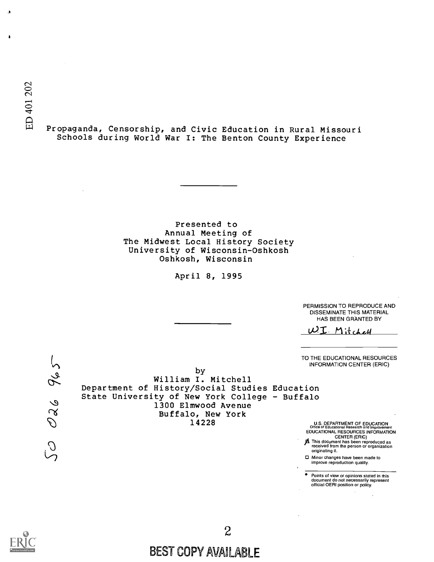$\ddot{\phantom{a}}$ 

 $\mathbf{r}$ 

<sup>41</sup> Propaganda, Censorship, and Civic Education in Rural Missouri Schools during World War I: The Benton County Experience

> Presented to Annual Meeting of The Midwest Local History Society University of Wisconsin-Oshkosh Oshkosh, Wisconsin

> > April 8, 1995

PERMISSION TO REPRODUCE AND DISSEMINATE THIS MATERIAL HAS BEEN GRANTED BY

 $WI$  Mitchell

TO THE EDUCATIONAL RESOURCES INFORMATION CENTER (ERIC)

 $965$ OZ6 C

by William I. Mitchell Department of History/Social Studies Education State University of New York College - Buffalo 1300 Elmwood Avenue Buffalo, New York

14228 U.S. DEPARTMENT OF EDUCATION Office of Educational Research and Improvement EDUCATIONAL RESOURCES INFORMATION

CENTER (ERIC) **A** This document has been reproduced as<br>received from the person or organization<br>originating it.

Minor changes have been made to improve reproduction quality.

Points of view or opinions stated in this document do not necessarily represent official OERI position or policy.



# BEST COPY AVAILABLE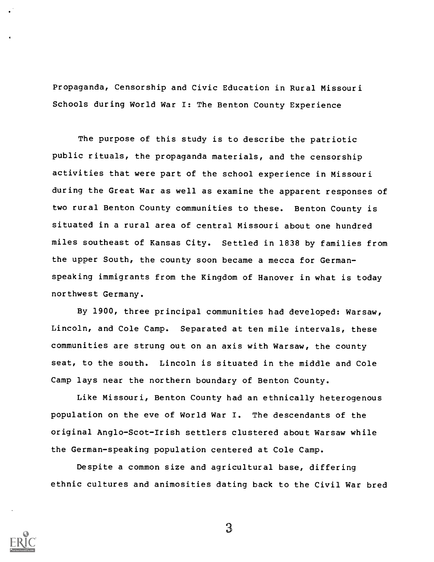Propaganda, Censorship and Civic Education in Rural Missouri Schools during World War I: The Benton County Experience

The purpose of this study is to describe the patriotic public rituals, the propaganda materials, and the censorship activities that were part of the school experience in Missouri during the Great War as well as examine the apparent responses of two rural Benton County communities to these. Benton County is situated in a rural area of central Missouri about one hundred miles southeast of Kansas City. Settled in 1838 by families from the upper South, the county soon became a mecca for Germanspeaking immigrants from the Kingdom of Hanover in what is today northwest Germany.

By 1900, three principal communities had developed: Warsaw, Lincoln, and Cole Camp. Separated at ten mile intervals, these communities are strung out on an axis with Warsaw, the county seat, to the south. Lincoln is situated in the middle and Cole Camp lays near the northern boundary of Benton County.

Like Missouri, Benton County had an ethnically heterogenous population on the eve of World War I. The descendants of the original Anglo-Scot-Irish settlers clustered about Warsaw while the German-speaking population centered at Cole Camp.

Despite a common size and agricultural base, differing ethnic cultures and animosities dating back to the Civil War bred

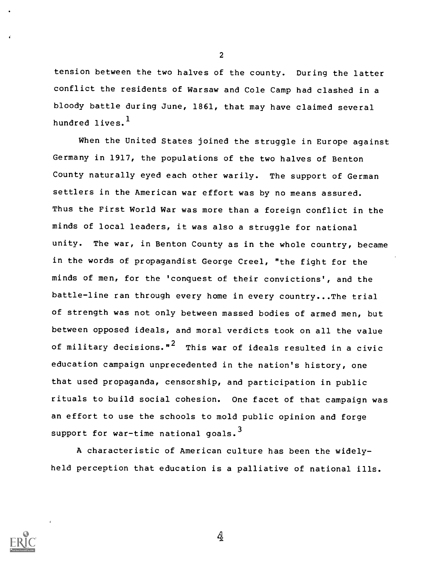tension between the two halves of the county. During the latter conflict the residents of Warsaw and Cole Camp had clashed in a bloody battle during June, 1861, that may have claimed several hundred lives.<sup>1</sup>

When the United States joined the struggle in Europe against Germany in 1917, the populations of the two halves of Benton County naturally eyed each other warily. The support of German settlers in the American war effort was by no means assured. Thus the First World War was more than a foreign conflict in the minds of local leaders, it was also a struggle for national unity. The war, in Benton County as in the whole country, became in the words of propagandist George Creel, "the fight for the minds of men, for the 'conquest of their convictions', and the battle-line ran through every home in every country...The trial of strength was not only between massed bodies of armed men, but between opposed ideals, and moral verdicts took on all the value of military decisions." $^2$  This war of ideals resulted in a civic education campaign unprecedented in the nation's history, one that used propaganda, censorship, and participation in public rituals to build social cohesion. One facet of that campaign was an effort to use the schools to mold public opinion and forge support for war-time national goals.<sup>3</sup>

A characteristic of American culture has been the widelyheld perception that education is a palliative of national ills.



2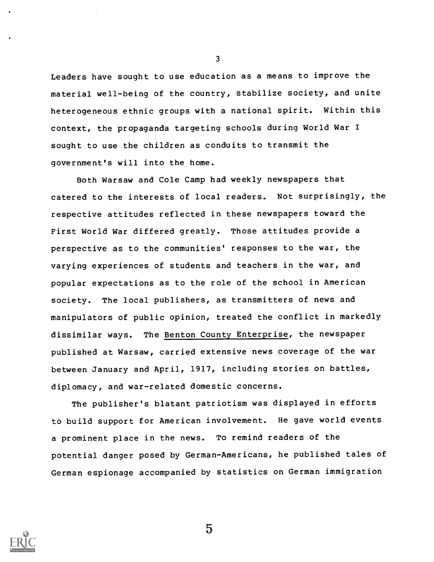Leaders have sought to use education as a means to improve the material well-being of the country, stabilize society, and unite heterogeneous ethnic groups with a national spirit. Within this context, the propaganda targeting schools during World War I sought to use the children as conduits to transmit the government's will into the home.

Both Warsaw and Cole Camp had weekly newspapers that catered to the interests of local readers. Not surprisingly, the respective attitudes reflected in these newspapers toward the First World War differed greatly. Those attitudes provide a perspective as to the communities' responses to the war, the varying experiences of students and teachers in the war, and popular expectations as to the role of the school in American society. The local publishers, as transmitters of news and manipulators of public opinion, treated the conflict in markedly dissimilar ways. The Benton County Enterprise, the newspaper published at Warsaw, carried extensive news coverage of the war between January and April, 1917, including stories on battles, diplomacy, and war-related domestic concerns.

The publisher's blatant patriotism was displayed in efforts to build support for American involvement. He gave world events a prominent place in the news. To remind readers of the potential danger posed by German-Americans, he published tales of German espionage accompanied by statistics on German immigration



3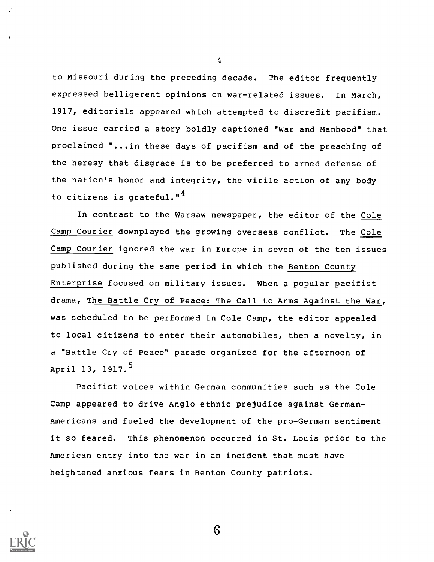to Missouri during the preceding decade. The editor frequently expressed belligerent opinions on war-related issues. In March, 1917, editorials appeared which attempted to discredit pacifism. One issue carried a story boldly captioned "War and Manhood" that proclaimed "...in these days of pacifism and of the preaching of the heresy that disgrace is to be preferred to armed defense of the nation's honor and integrity, the virile action of any body to citizens is grateful."<sup>4</sup>

In contrast to the Warsaw newspaper, the editor of the Cole Camp Courier downplayed the growing overseas conflict. The Cole Camp Courier ignored the war in Europe in seven of the ten issues published during the same period in which the Benton County Enterprise focused on military issues. When a popular pacifist drama, The Battle Cry of Peace: The Call to Arms Against the War, was scheduled to be performed in Cole Camp, the editor appealed to local citizens to enter their automobiles, then a novelty, in a "Battle Cry of Peace" parade organized for the afternoon of April 13, 1917.<sup>5</sup>

Pacifist voices within German communities such as the Cole Camp appeared to drive Anglo ethnic prejudice against German-Americans and fueled the development of the pro-German sentiment it so feared. This phenomenon occurred in St. Louis prior to the American entry into the war in an incident that must have heightened anxious fears in Benton County patriots.



4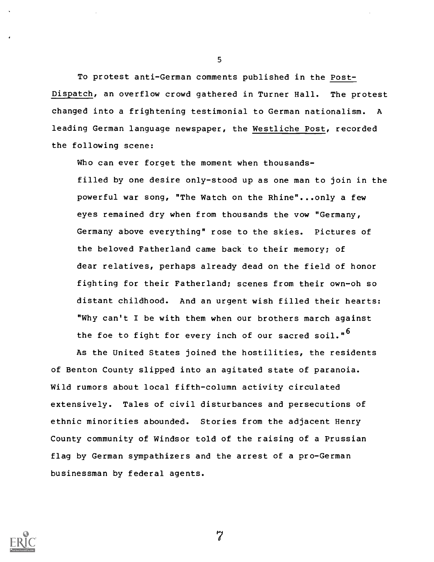To protest anti-German comments published in the Post-Dispatch, an overflow crowd gathered in Turner Hall. The protest changed into a frightening testimonial to German nationalism. A leading German language newspaper, the Westliche Post, recorded the following scene:

Who can ever forget the moment when thousandsfilled by one desire only-stood up as one man to join in the powerful war song, "The Watch on the Rhine"...only a few eyes remained dry when from thousands the vow "Germany, Germany above everything" rose to the skies. Pictures of the beloved Fatherland came back to their memory; of dear relatives, perhaps already dead on the field of honor fighting for their Fatherland; scenes from their own-oh so distant childhood. And an urgent wish filled their hearts: "Why can't I be with them when our brothers march against the foe to fight for every inch of our sacred soil."<sup>6</sup>

As the United States joined the hostilities, the residents of Benton County slipped into an agitated state of paranoia. Wild rumors about local fifth-column activity circulated extensively. Tales of civil disturbances and persecutions of ethnic minorities abounded. Stories from the adjacent Henry County community of Windsor told of the raising of a Prussian flag by German sympathizers and the arrest of a pro-German businessman by federal agents.



5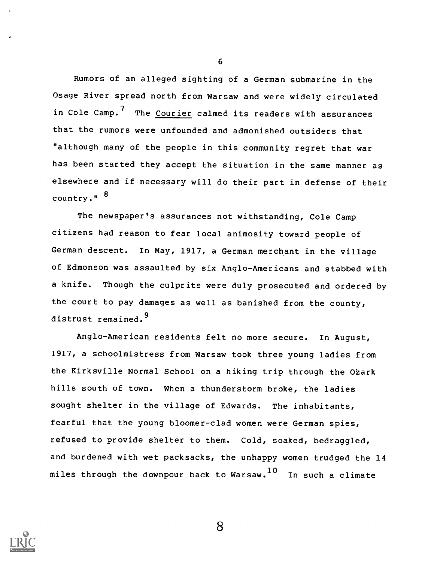Rumors of an alleged sighting of a German submarine in the Osage River spread north from Warsaw and were widely circulated in Cole Camp.<sup>7</sup> The Courier calmed its readers with assurances that the rumors were unfounded and admonished outsiders that "although many of the people in this community regret that war has been started they accept the situation in the same manner as elsewhere and if necessary will do their part in defense of their country."<sup>8</sup>

The newspaper's assurances not withstanding, Cole Camp citizens had reason to fear local animosity toward people of German descent. In May, 1917, a German merchant in the village of Edmonson was assaulted by six Anglo-Americans and stabbed with a knife. Though the culprits were duly prosecuted and ordered by the court to pay damages as well as banished from the county, distrust remained.<sup>9</sup>

Anglo-American residents felt no more secure. In August, 1917, a schoolmistress from Warsaw took three young ladies from the Kirksville Normal School on a hiking trip through the Ozark hills south of town. When a thunderstorm broke, the ladies sought shelter in the village of Edwards. The inhabitants, fearful that the young bloomer-clad women were German spies, refused to provide shelter to them. Cold, soaked, bedraggled, and burdened with wet packsacks, the unhappy women trudged the 14 miles through the downpour back to Warsaw. $^{10}$  In such a climate



6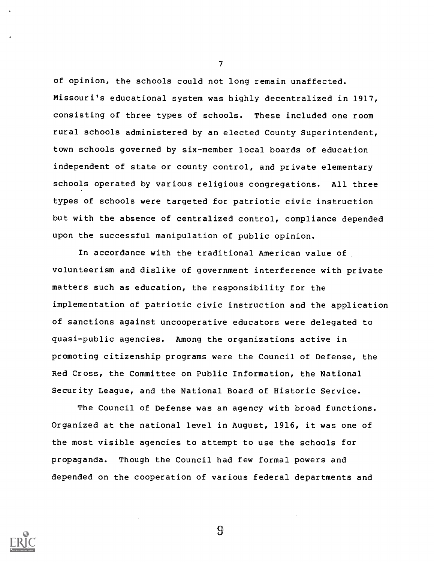of opinion, the schools could not long remain unaffected. Missouri's educational system was highly decentralized in 1917, consisting of three types of schools. These included one room rural schools administered by an elected County Superintendent, town schools governed by six-member local boards of education independent of state or county control, and private elementary schools operated by various religious congregations. All three types of schools were targeted for patriotic civic instruction but with the absence of centralized control, compliance depended upon the successful manipulation of public opinion.

In accordance with the traditional American value of volunteerism and dislike of government interference with private matters such as education, the responsibility for the implementation of patriotic civic instruction and the application of sanctions against uncooperative educators were delegated to quasi-public agencies. Among the organizations active in promoting citizenship programs were the Council of Defense, the Red Cross, the Committee on Public Information, the National Security League, and the National Board of Historic Service.

The Council of Defense was an agency with broad functions. Organized at the national level in August, 1916, it was one of the most visible agencies to attempt to use the schools for propaganda. Though the Council had few formal powers and depended on the cooperation of various federal departments and



 $\mathcal{T}$  and  $\mathcal{T}$ 

 $\Omega$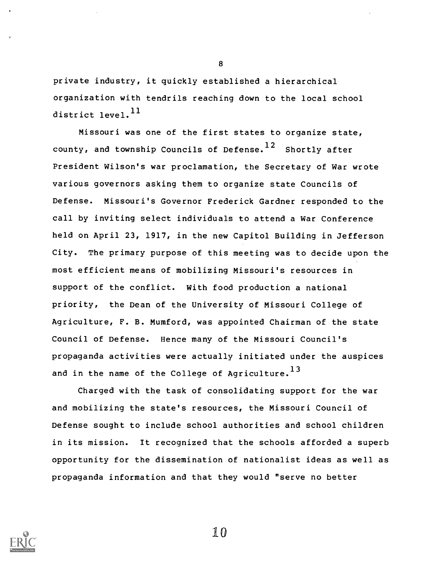private industry, it quickly established a hierarchical organization with tendrils reaching down to the local school district level.<sup>11</sup>

Missouri was one of the first states to organize state, county, and township Councils of Defense.<sup>12</sup> Shortly after President Wilson's war proclamation, the Secretary of War wrote various governors asking them to organize state Councils of Defense. Missouri's Governor Frederick Gardner responded to the call by inviting select individuals to attend a War Conference held on April 23, 1917, in the new Capitol Building in Jefferson City. The primary purpose of this meeting was to decide upon the most efficient means of mobilizing Missouri's resources in support of the conflict. With food production a national priority, the Dean of the University of Missouri College of Agriculture, F. B. Mumford, was appointed Chairman of the state Council of Defense. Hence many of the Missouri Council's propaganda activities were actually initiated under the auspices and in the name of the College of Agriculture.<sup>13</sup>

Charged with the task of consolidating support for the war and mobilizing the state's resources, the Missouri Council of Defense sought to include school authorities and school children in its mission. It recognized that the schools afforded a superb opportunity for the dissemination of nationalist ideas as well as propaganda information and that they would "serve no better



8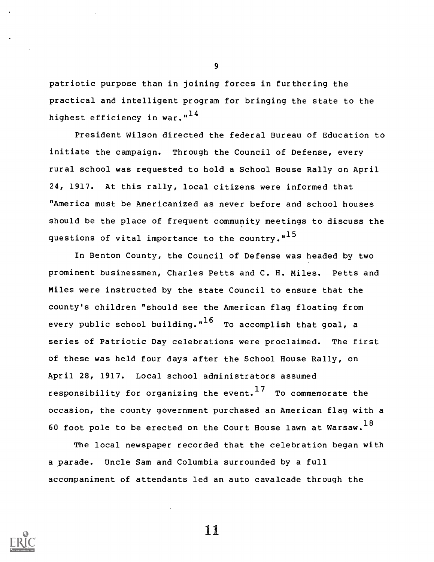patriotic purpose than in joining forces in furthering the practical and intelligent program for bringing the state to the highest efficiency in war."<sup>14</sup>

President Wilson directed the federal Bureau of Education to initiate the campaign. Through the Council of Defense, every rural school was requested to hold a School House Rally on April 24, 1917. At this rally, local citizens were informed that "America must be Americanized as never before and school houses should be the place of frequent community meetings to discuss the questions of vital importance to the country."<sup>15</sup>

In Benton County, the Council of Defense was headed by two prominent businessmen, Charles Petts and C. H. Miles. Petts and Miles were instructed by the state Council to ensure that the county's children "should see the American flag floating from every public school building."<sup>16</sup> To accomplish that goal, a series of Patriotic Day celebrations were proclaimed. The first of these was held four days after the School House Rally, on April 28, 1917. Local school administrators assumed responsibility for organizing the event.<sup>17</sup> To commemorate the occasion, the county government purchased an American flag with a 60 foot pole to be erected on the Court House lawn at Warsaw.  $^{18}$ 

The local newspaper recorded that the celebration began with a parade. Uncle Sam and Columbia surrounded by a full accompaniment of attendants led an auto cavalcade through the



9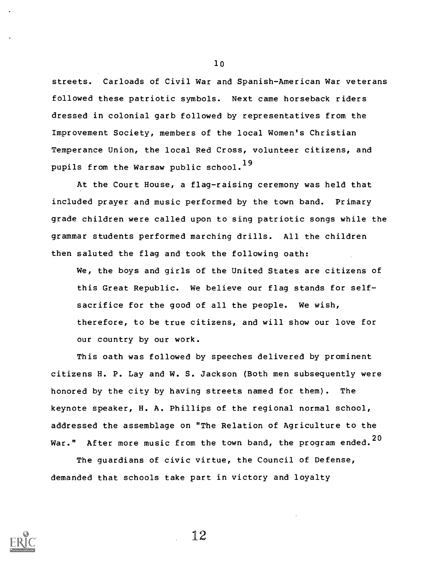streets. Carloads of Civil War and Spanish-American War veterans followed these patriotic symbols. Next came horseback riders dressed in colonial garb followed by representatives from the Improvement Society, members of the local Women's Christian Temperance Union, the local Red Cross, volunteer citizens, and pupils from the Warsaw public school.<sup>19</sup>

At the Court House, a flag-raising ceremony was held that included prayer and music performed by the town band. Primary grade children were called upon to sing patriotic songs while the grammar students performed marching drills. All the children then saluted the flag and took the following oath:

We, the boys and girls of the United States are citizens of this Great Republic. We believe our flag stands for selfsacrifice for the good of all the people. We wish, therefore, to be true citizens, and will show our love for our country by our work.

This oath was followed by speeches delivered by prominent citizens H. P. Lay and W. S. Jackson (Both men subsequently were honored by the city by having streets named for them). The keynote speaker, H. A. Phillips of the regional normal school, addressed the assemblage on "The Relation of Agriculture to the War." After more music from the town band, the program ended. $^{20}$ 

The guardians of civic virtue, the Council of Defense, demanded that schools take part in victory and loyalty



10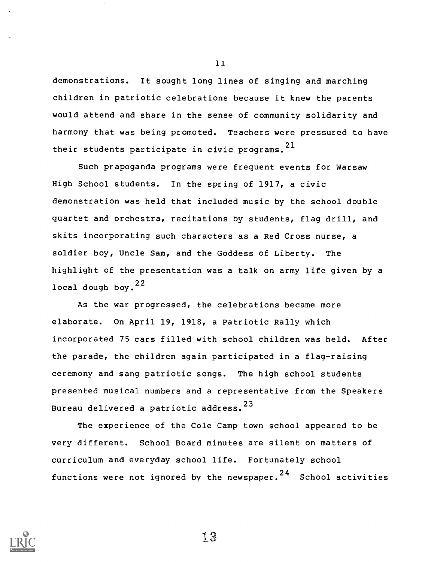demonstrations. It sought long lines of singing and marching children in patriotic celebrations because it knew the parents would attend and share in the sense of community solidarity and harmony that was being promoted. Teachers were pressured to have their students participate in civic programs.<sup>21</sup>

Such prapoganda programs were frequent events for Warsaw High School students. In the spring of 1917, a civic demonstration was held that included music by the school double quartet and orchestra, recitations by students, flag drill, and skits incorporating such characters as a Red Cross nurse, a soldier boy, Uncle Sam, and the Goddess of Liberty. The highlight of the presentation was a talk on army life given by a local dough bov.<sup>22</sup>

As the war progressed, the celebrations became more elaborate. On April 19, 1918, a Patriotic Rally which incorporated 75 cars filled with school children was held. After the parade, the children again participated in a flag-raising ceremony and sang patriotic songs. The high school students presented musical numbers and a representative from the Speakers Bureau delivered a patriotic address. <sup>23</sup>

The experience of the Cole Camp town school appeared to be very different. School Board minutes are silent on matters of curriculum and everyday school life. Fortunately school functions were not ignored by the newspaper.<sup>24</sup> School activities



11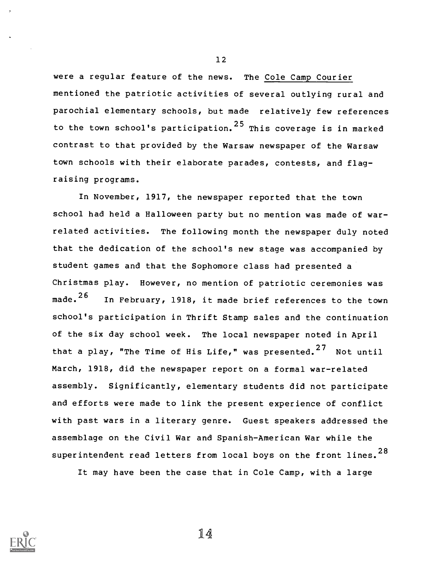were a regular feature of the news. The Cole Camp Courier mentioned the patriotic activities of several outlying rural and parochial elementary schools, but made relatively few references to the town school's participation.<sup>25</sup> This coverage is in marked contrast to that provided by the Warsaw newspaper of the Warsaw town schools with their elaborate parades, contests, and flagraising programs.

In November, 1917, the newspaper reported that the town school had held a Halloween party but no mention was made of warrelated activities. The following month the newspaper duly noted that the dedication of the school's new stage was accompanied by student games and that the Sophomore class had presented a Christmas play. However, no mention of patriotic ceremonies was made.<sup>26</sup> In February, 1918, it made brief references to the town school's participation in Thrift Stamp sales and the continuation of the six day school week. The local newspaper noted in April that a play, "The Time of His Life," was presented.<sup>27</sup> Not until March, 1918, did the newspaper report on a formal war-related assembly. Significantly, elementary students did not participate and efforts were made to link the present experience of conflict with past wars in a literary genre. Guest speakers addressed the assemblage on the Civil War and Spanish-American War while the superintendent read letters from local boys on the front lines.<sup>28</sup>

It may have been the case that in Cole Camp, with a large



12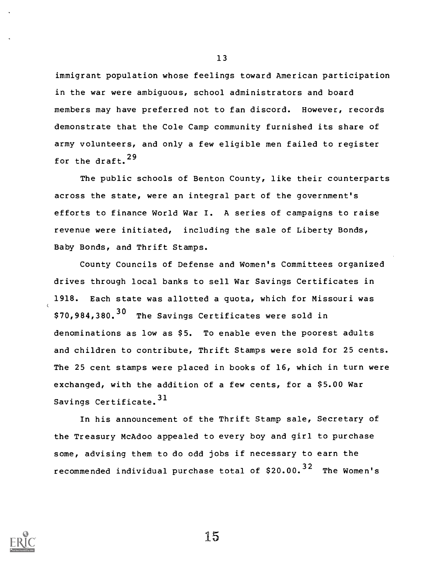immigrant population whose feelings toward American participation in the war were ambiguous, school administrators and board members may have preferred not to fan discord. However, records demonstrate that the Cole Camp community furnished its share of army volunteers, and only a few eligible men failed to register for the draft.<sup>29</sup>

The public schools of Benton County, like their counterparts across the state, were an integral part of the government's efforts to finance World War I. A series of campaigns to raise revenue were initiated, including the sale of Liberty Bonds, Baby Bonds, and Thrift Stamps.

County Councils of Defense and Women's Committees organized drives through local banks to sell War Savings Certificates in 1918. Each state was allotted a quota, which for Missouri was \$70,984,380.<sup>30</sup> The Savings Certificates were sold in denominations as low as \$5. To enable even the poorest adults and children to contribute, Thrift Stamps were sold for 25 cents. The 25 cent stamps were placed in books of 16, which in turn were exchanged, with the addition of a few cents, for a \$5.00 War Savings Certificate.<sup>31</sup>

In his announcement of the Thrift Stamp sale, Secretary of the Treasury McAdoo appealed to every boy and girl to purchase some, advising them to do odd jobs if necessary to earn the recommended individual purchase total of  $$20.00.<sup>32</sup>$  The Women's



13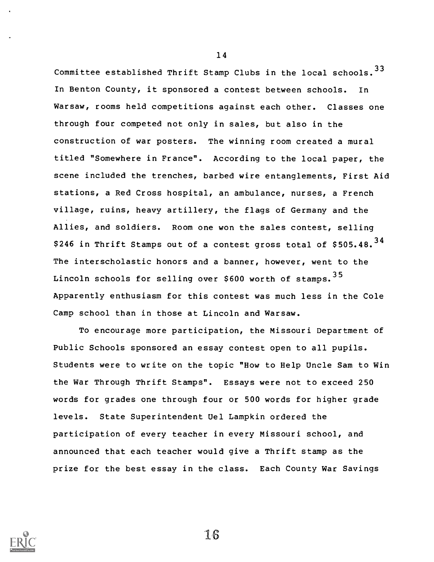Committee established Thrift Stamp Clubs in the local schools.  $33$ In Benton County, it sponsored a contest between schools. In Warsaw, rooms held competitions against each other. Classes one through four competed not only in sales, but also in the construction of war posters. The winning room created a mural titled "Somewhere in France". According to the local paper, the scene included the trenches, barbed wire entanglements, First Aid stations, a Red Cross hospital, an ambulance, nurses, a French village, ruins, heavy artillery, the flags of Germany and the Allies, and soldiers. Room one won the sales contest, selling \$246 in Thrift Stamps out of a contest gross total of \$505.48. $34$ The interscholastic honors and a banner, however, went to the Lincoln schools for selling over \$600 worth of stamps. 35 Apparently enthusiasm for this contest was much less in the Cole Camp school than in those at Lincoln and Warsaw.

To encourage more participation, the Missouri Department of Public Schools sponsored an essay contest open to all pupils. Students were to write on the topic "How to Help Uncle Sam to Win the War Through Thrift Stamps". Essays were not to exceed 250 words for grades one through four or 500 words for higher grade levels. State Superintendent Uel Lampkin ordered the participation of every teacher in every Missouri school, and announced that each teacher would give a Thrift stamp as the prize for the best essay in the class. Each County War Savings



14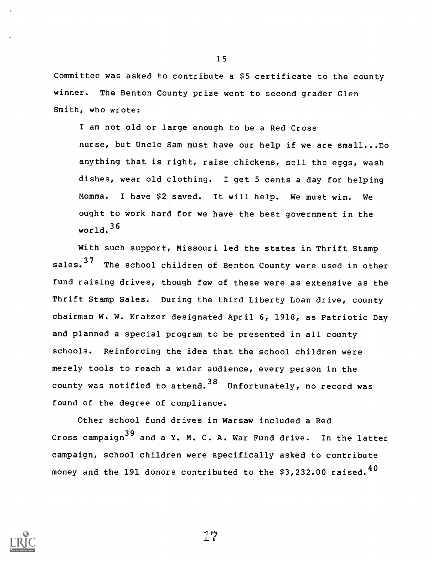Committee was asked to contribute a \$5 certificate to the county winner. The Benton County prize went to second grader Glen Smith, who wrote:

I am not old or large enough to be a Red Cross nurse, but Uncle Sam must have our help if we are small...Do anything that is right, raise chickens, sell the eggs, wash dishes, wear old clothing. I get 5 cents a day for helping Momma. I have \$2 saved. It will help. We must win. We ought to work hard for we have the best government in the world.  $36$ 

With such support, Missouri led the states in Thrift Stamp sales.<sup>37</sup> The school children of Benton County were used in other fund raising drives, though few of these were as extensive as the Thrift Stamp Sales. During the third Liberty Loan drive, county chairman W. W. Kratzer designated April 6, 1918, as Patriotic Day and planned a special program to be presented in all county schools. Reinforcing the idea that the school children were merely tools to reach a wider audience, every person in the county was notified to attend.  $38$  Unfortunately, no record was found of the degree of compliance.

Other school fund drives in Warsaw included a Red Cross campaign $39$  and a Y. M. C. A. War Fund drive. In the latter campaign, school children were specifically asked to contribute money and the 191 donors contributed to the  $$3,232.00$  raised.<sup>40</sup>



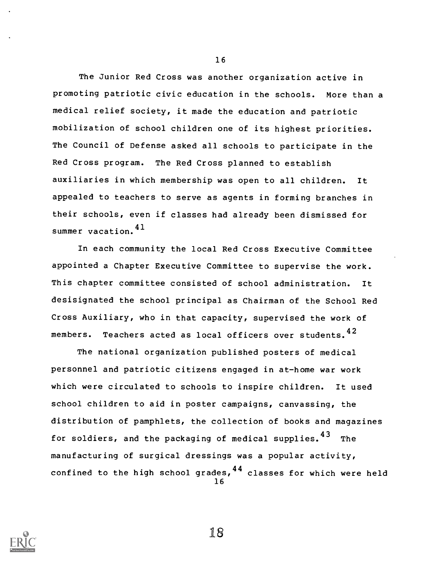The Junior Red Cross was another organization active in promoting patriotic civic education in the schools. More than a medical relief society, it made the education and patriotic mobilization of school children one of its highest priorities. The Council of Defense asked all schools to participate in the Red Cross program. The Red Cross planned to establish auxiliaries in which membership was open to all children. It appealed to teachers to serve as agents in forming branches in their schools, even if classes had already been dismissed for summer vacation.  $4<sup>1</sup>$ 

In each community the local Red Cross Executive Committee appointed a Chapter Executive Committee to supervise the work. This chapter committee consisted of school administration. It desisignated the school principal as Chairman of the School Red Cross Auxiliary, who in that capacity, supervised the work of members. Teachers acted as local officers over students.  $42$ 

The national organization published posters of medical personnel and patriotic citizens engaged in at-home war work which were circulated to schools to inspire children. It used school children to aid in poster campaigns, canvassing, the distribution of pamphlets, the collection of books and magazines for soldiers, and the packaging of medical supplies.<sup>43</sup> The manufacturing of surgical dressings was a popular activity, confined to the high school grades,  $44$  classes for which were held 16



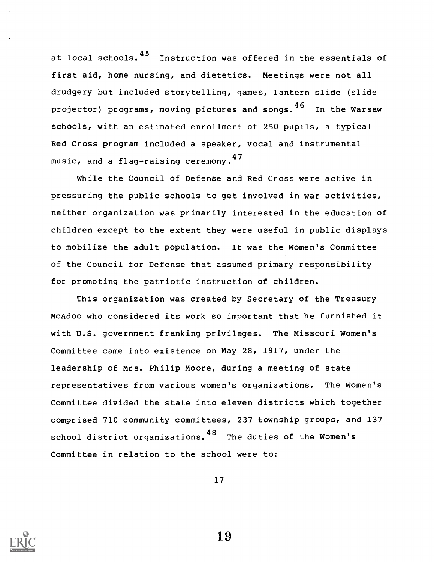at local schools.<sup>45</sup> Instruction was offered in the essentials of first aid, home nursing, and dietetics. Meetings were not all drudgery but included storytelling, games, lantern slide (slide projector) programs, moving pictures and songs.  $46$  In the Warsaw schools, with an estimated enrollment of 250 pupils, a typical Red Cross program included a speaker, vocal and instrumental music, and a flag-raising ceremony.<sup>47</sup>

While the Council of Defense and Red Cross were active in pressuring the public schools to get involved in war activities, neither organization was primarily interested in the education of children except to the extent they were useful in public displays to mobilize the adult population. It was the Women's Committee of the Council for Defense that assumed primary responsibility for promoting the patriotic instruction of children.

This organization was created by Secretary of the Treasury McAdoo who considered its work so important that he furnished it with U.S. government franking privileges. The Missouri Women's Committee came into existence on May 28, 1917, under the leadership of Mrs. Philip Moore, during a meeting of state representatives from various women's organizations. The Women's Committee divided the state into eleven districts which together comprised 710 community committees, 237 township groups, and 137 school district organizations.  $48$  The duties of the Women's Committee in relation to the school were to:

17

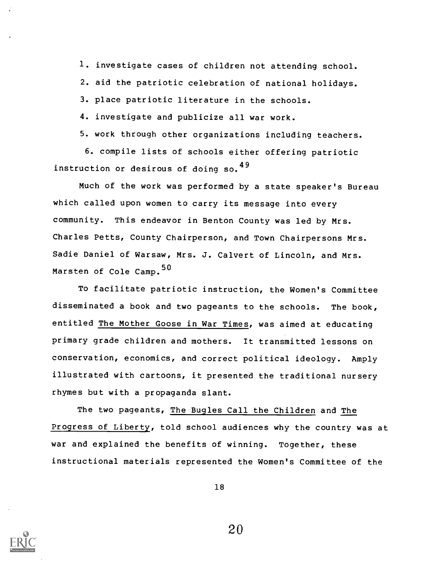1. investigate cases of children not attending school.

2. aid the patriotic celebration of national holidays.

3. place patriotic literature in the schools.

4. investigate and publicize all war work.

5. work through other organizations including teachers.

6. compile lists of schools either offering patriotic instruction or desirous of doing so.<sup>49</sup>

Much of the work was performed by a state speaker's Bureau which called upon women to carry its message into every community. This endeavor in Benton County was led by Mrs. Charles Petts, County Chairperson, and Town Chairpersons Mrs. Sadie Daniel of Warsaw, Mrs. J. Calvert of Lincoln, and Mrs. Marsten of Cole Camp.<sup>50</sup>

To facilitate patriotic instruction, the Women's Committee disseminated a book and two pageants to the schools. The book, entitled The Mother Goose in War Times, was aimed at educating primary grade children and mothers. It transmitted lessons on conservation, economics, and correct political ideology. Amply illustrated with cartoons, it presented the traditional nursery rhymes but with a propaganda slant.

The two pageants, The Bugles Call the Children and The Progress of Liberty, told school audiences why the country was at war and explained the benefits of winning. Together, these instructional materials represented the Women's Committee of the

18

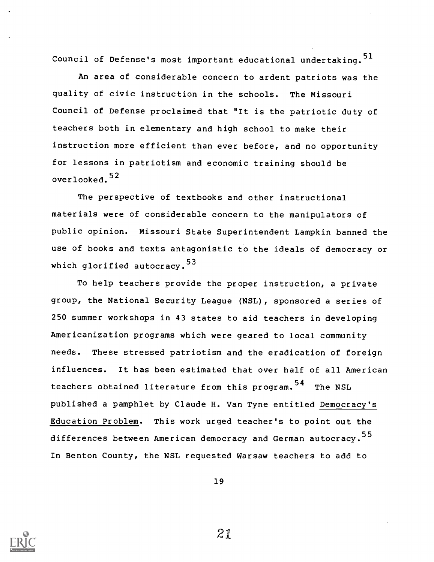Council of Defense's most important educational undertaking.<sup>51</sup>

An area of considerable concern to ardent patriots was the quality of civic instruction in the schools. The Missouri Council of Defense proclaimed that "It is the patriotic duty of teachers both in elementary and high school to make their instruction more efficient than ever before, and no opportunity for lessons in patriotism and economic training should be overlooked. <sup>52</sup>

The perspective of textbooks and other instructional materials were of considerable concern to the manipulators of public opinion. Missouri State Superintendent Lampkin banned the use of books and texts antagonistic to the ideals of democracy or which glorified autocracy.<sup>53</sup>

To help teachers provide the proper instruction, a private group, the National Security League (NSL), sponsored a series of 250 summer workshops in 43 states to aid teachers in developing Americanization programs which were geared to local community needs. These stressed patriotism and the eradication of foreign influences. It has been estimated that over half of all American teachers obtained literature from this program.<sup>54</sup> The NSL published a pamphlet by Claude H. Van Tyne entitled Democracy's Education Problem. This work urged teacher's to point out the differences between American democracy and German autocracy.<sup>55</sup> In Benton County, the NSL requested Warsaw teachers to add to

19

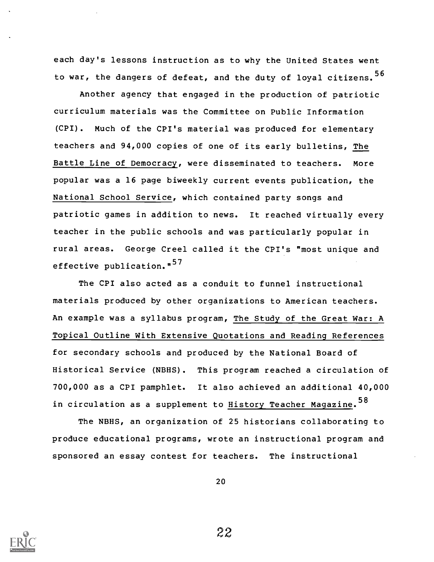each day's lessons instruction as to why the United States went to war, the dangers of defeat, and the duty of loyal citizens.<sup>56</sup>

Another agency that engaged in the production of patriotic curriculum materials was the Committee on Public Information (CPI). Much of the CPI's material was produced for elementary teachers and 94,000 copies of one of its early bulletins, The Battle Line of Democracy, were disseminated to teachers. More popular was a 16 page biweekly current events publication, the National School Service, which contained party songs and patriotic games in addition to news. It reached virtually every teacher in the public schools and was particularly popular in rural areas. George Creel called it the CPI's "most unique and effective publication."<sup>57</sup>

The CPI also acted as a conduit to funnel instructional materials produced by other organizations to American teachers. An example was a syllabus program, The Study of the Great War: A Topical Outline With Extensive Quotations and Reading References for secondary schools and produced by the National Board of Historical Service (NBHS). This program reached a circulation of 700,000 as a CPI pamphlet. It also achieved an additional 40,000 in circulation as a supplement to History Teacher Magazine.<sup>58</sup>

The NBHS, an organization of 25 historians collaborating to produce educational programs, wrote an instructional program and sponsored an essay contest for teachers. The instructional

20

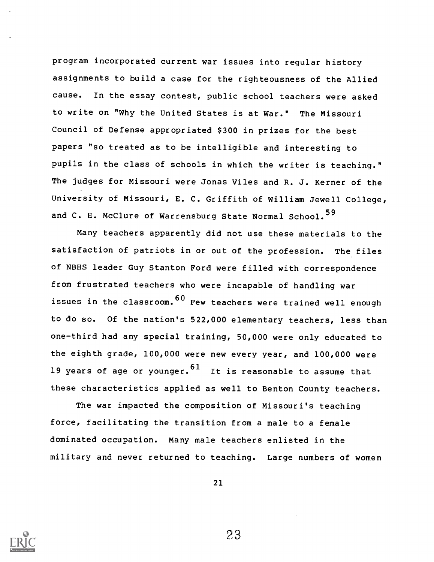program incorporated current war issues into regular history assignments to build a case for the righteousness of the Allied cause. In the essay contest, public school teachers were asked to write on "Why the United States is at War." The Missouri Council of Defense appropriated \$300 in prizes for the best papers "so treated as to be intelligible and interesting to pupils in the class of schools in which the writer is teaching." The judges for Missouri were Jonas Viles and R. J. Kerner of the University of Missouri, E. C. Griffith of William Jewell College, and C. H. McClure of Warrensburg State Normal School.<sup>59</sup>

Many teachers apparently did not use these materials to the satisfaction of patriots in or out of the profession. The files of NBHS leader Guy Stanton Ford were filled with correspondence from frustrated teachers who were incapable of handling war issues in the classroom.  $60$  Few teachers were trained well enough to do so. Of the nation's 522,000 elementary teachers, less than one-third had any special training, 50,000 were only educated to the eighth grade, 100,000 were new every year, and 100,000 were 19 years of age or younger.  $61$  It is reasonable to assume that these characteristics applied as well to Benton County teachers.

The war impacted the composition of Missouri's teaching force, facilitating the transition from a male to a female dominated occupation. Many male teachers enlisted in the military and never returned to teaching. Large numbers of women

21

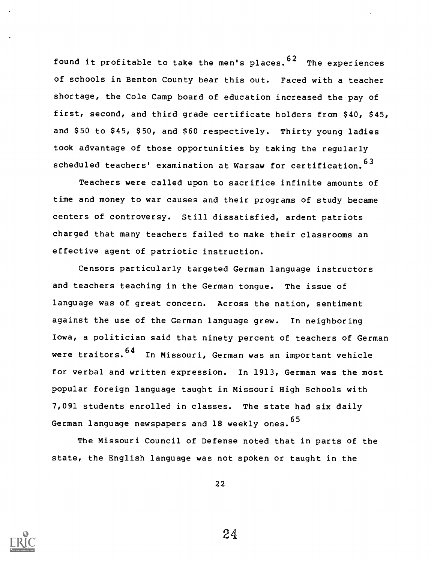found it profitable to take the men's places.  $62$  The experiences of schools in Benton County bear this out. Faced with a teacher shortage, the Cole Camp board of education increased the pay of first, second, and third grade certificate holders from \$40, \$45, and \$50 to \$45, \$50, and \$60 respectively. Thirty young ladies took advantage of those opportunities by taking the regularly scheduled teachers' examination at Warsaw for certification. <sup>63</sup>

Teachers were called upon to sacrifice infinite amounts of time and money to war causes and their programs of study became centers of controversy. Still dissatisfied, ardent patriots charged that many teachers failed to make their classrooms an effective agent of patriotic instruction.

Censors particularly targeted German language instructors and teachers teaching in the German tongue. The issue of language was of great concern. Across the nation, sentiment against the use of the German language grew. In neighboring Iowa, a politician said that ninety percent of teachers of German were traitors.  $64$  In Missouri, German was an important vehicle for verbal and written expression. In 1913, German was the most popular foreign language taught in Missouri High Schools with 7,091 students enrolled in classes. The state had six daily German language newspapers and 18 weekly ones. 65

The Missouri Council of Defense noted that in parts of the state, the English language was not spoken or taught in the

22

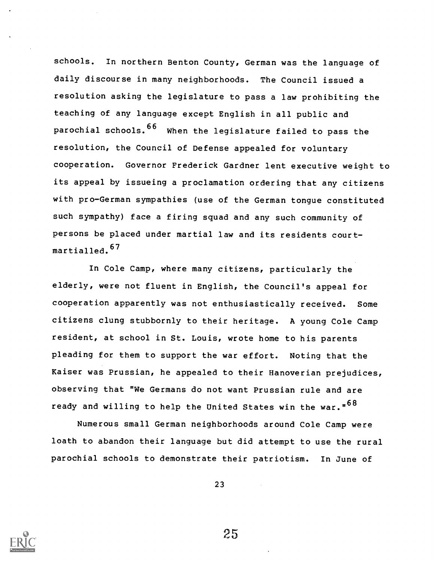schools. In northern Benton County, German was the language of daily discourse in many neighborhoods. The Council issued a resolution asking the legislature to pass a law prohibiting the teaching of any language except English in all public and parochial schools. <sup>66</sup> When the legislature failed to pass the resolution, the Council of Defense appealed for voluntary cooperation. Governor Frederick Gardner lent executive weight to its appeal by issueing a proclamation ordering that any citizens with pro-German sympathies (use of the German tongue constituted such sympathy) face a firing squad and any such community of persons be placed under martial law and its residents courtmartialled. <sup>67</sup>

In Cole Camp, where many citizens, particularly the elderly, were not fluent in English, the Council's appeal for cooperation apparently was not enthusiastically received. Some citizens clung stubbornly to their heritage. A young Cole Camp resident, at school in St. Louis, wrote home to his parents pleading for them to support the war effort. Noting that the Kaiser was Prussian, he appealed to their Hanoverian prejudices, observing that "We Germans do not want Prussian rule and are ready and willing to help the United States win the war."<sup>68</sup>

Numerous small German neighborhoods around Cole Camp were loath to abandon their language but did attempt to use the rural parochial schools to demonstrate their patriotism. In June of

23

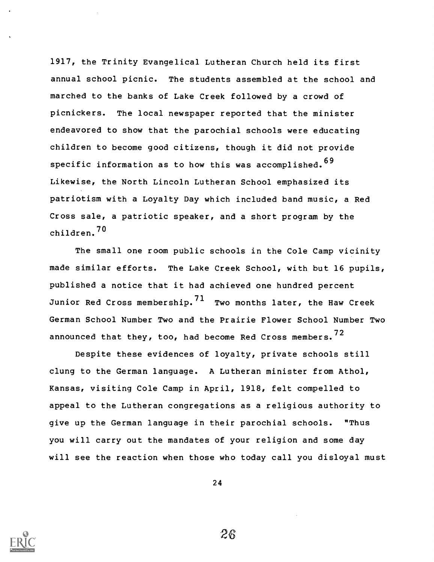1917, the Trinity Evangelical Lutheran Church held its first annual school picnic. The students assembled at the school and marched to the banks of Lake Creek followed by a crowd of picnickers. The local newspaper reported that the minister endeavored to show that the parochial schools were educating children to become good citizens, though it did not provide specific information as to how this was accomplished. <sup>69</sup> Likewise, the North Lincoln Lutheran School emphasized its patriotism with a Loyalty Day which included band music, a Red Cross sale, a patriotic speaker, and a short program by the children. <sup>70</sup>

The small one room public schools in the Cole Camp vicinity made similar efforts. The Lake Creek School, with but 16 pupils, published a notice that it had achieved one hundred percent Junior Red Cross membership.  $71$  Two months later, the Haw Creek German School Number Two and the Prairie Flower School Number Two announced that they, too, had become Red Cross members.  $72$ 

Despite these evidences of loyalty, private schools still clung to the German language. A Lutheran minister from Athol, Kansas, visiting Cole Camp in April, 1918, felt compelled to appeal to the Lutheran congregations as a religious authority to give up the German language in their parochial schools. "Thus you will carry out the mandates of your religion and some day will see the reaction when those who today call you disloyal must

24

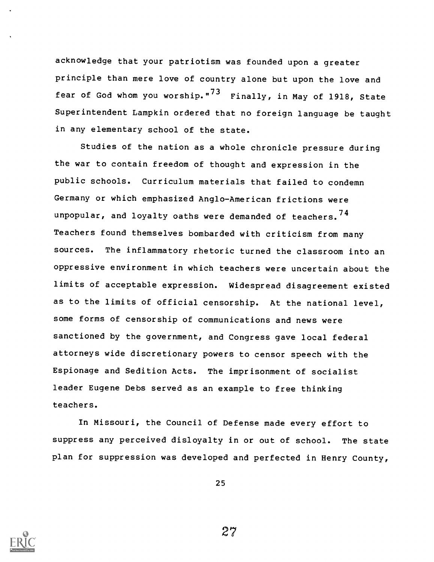acknowledge that your patriotism was founded upon a greater principle than mere love of country alone but upon the love and fear of God whom you worship."<sup>73</sup> Finally, in May of 1918, State Superintendent Lampkin ordered that no foreign language be taught in any elementary school of the state.

Studies of the nation as a whole chronicle pressure during the war to contain freedom of thought and expression in the public schools. Curriculum materials that failed to condemn Germany or which emphasized Anglo-American frictions were unpopular, and loyalty oaths were demanded of teachers.  $74$ Teachers found themselves bombarded with criticism from many sources. The inflammatory rhetoric turned the classroom into an oppressive environment in which teachers were uncertain about the limits of acceptable expression. Widespread disagreement existed as to the limits of official censorship. At the national level, some forms of censorship of communications and news were sanctioned by the government, and Congress gave local federal attorneys wide discretionary powers to censor speech with the Espionage and Sedition Acts. The imprisonment of socialist leader Eugene Debs served as an example to free thinking teachers.

In Missouri, the Council of Defense made every effort to suppress any perceived disloyalty in or out of school. The state plan for suppression was developed and perfected in Henry County,

25

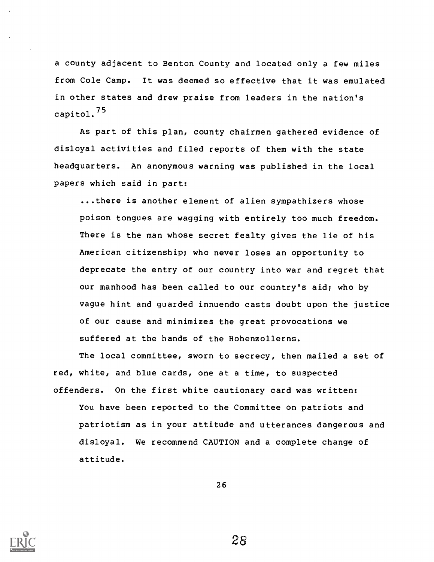a county adjacent to Benton County and located only a few miles from Cole Camp. It was deemed so effective that it was emulated in other states and drew praise from leaders in the nation's capito1.75

As part of this plan, county chairmen gathered evidence of disloyal activities and filed reports of them with the state headquarters. An anonymous warning was published in the local papers which said in part:

...there is another element of alien sympathizers whose poison tongues are wagging with entirely too much freedom. There is the man whose secret fealty gives the lie of his American citizenship; who never loses an opportunity to deprecate the entry of our country into war and regret that our manhood has been called to our country's aid; who by vague hint and guarded innuendo casts doubt upon the justice of our cause and minimizes the great provocations we suffered at the hands of the Hohenzollerns.

The local committee, sworn to secrecy, then mailed a set of red, white, and blue cards, one at a time, to suspected offenders. On the first white cautionary card was written: You have been reported to the Committee on patriots and

patriotism as in your attitude and utterances dangerous and disloyal. We recommend CAUTION and a complete change of attitude.

26

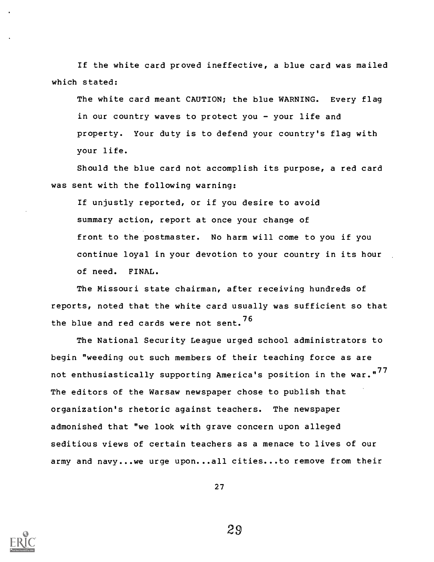If the white card proved ineffective, a blue card was mailed which stated:

The white card meant CAUTION; the blue WARNING. Every flag in our country waves to protect you - your life and property. Your duty is to defend your country's flag with your life.

Should the blue card not accomplish its purpose, a red card was sent with the following warning:

If unjustly reported, or if you desire to avoid summary action, report at once your change of front to the postmaster. No harm will come to you if you continue loyal in your devotion to your country in its hour of need. FINAL.

The Missouri state chairman, after receiving hundreds of reports, noted that the white card usually was sufficient so that the blue and red cards were not sent.  $76$ 

The National Security League urged school administrators to begin "weeding out such members of their teaching force as are not enthusiastically supporting America's position in the war."<sup>77</sup> The editors of the Warsaw newspaper chose to publish that organization's rhetoric against teachers. The newspaper admonished that "we look with grave concern upon alleged seditious views of certain teachers as a menace to lives of our army and navy...we urge upon...all cities...to remove from their

27

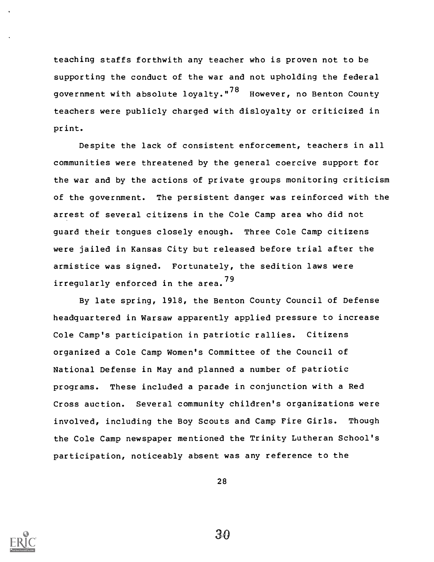teaching staffs forthwith any teacher who is proven not to be supporting the conduct of the war and not upholding the federal government with absolute loyalty."<sup>78</sup> However, no Benton County teachers were publicly charged with disloyalty or criticized in print.

Despite the lack of consistent enforcement, teachers in all communities were threatened by the general coercive support for the war and by the actions of private groups monitoring criticism of the government. The persistent danger was reinforced with the arrest of several citizens in the Cole Camp area who did not guard their tongues closely enough. Three Cole Camp citizens were jailed in Kansas City but released before trial after the armistice was signed. Fortunately, the sedition laws were irregularly enforced in the area.<sup>79</sup>

By late spring, 1918, the Benton County Council of Defense headquartered in Warsaw apparently applied pressure to increase Cole Camp's participation in patriotic rallies. Citizens organized a Cole Camp Women's Committee of the Council of National Defense in May and planned a number of patriotic programs. These included a parade in conjunction with a Red Cross auction. Several community children's organizations were involved, including the Boy Scouts and Camp Fire Girls. Though the Cole Camp newspaper mentioned the Trinity Lutheran School's participation, noticeably absent was any reference to the

28

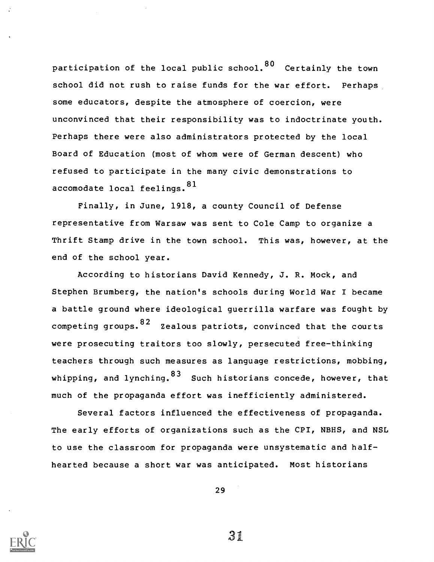participation of the local public school.  $80$  Certainly the town school did not rush to raise funds for the war effort. Perhaps some educators, despite the atmosphere of coercion, were unconvinced that their responsibility was to indoctrinate youth. Perhaps there were also administrators protected by the local Board of Education (most of whom were of German descent) who refused to participate in the many civic demonstrations to accomodate local feelings. 81

Finally, in June, 1918, a county Council of Defense representative from Warsaw was sent to Cole Camp to organize a Thrift Stamp drive in the town school. This was, however, at the end of the school year.

According to historians David Kennedy, J. R. Mock, and Stephen Brumberg, the nation's schools during World War I became a battle ground where ideological guerrilla warfare was fought by competing groups.  $82$  Zealous patriots, convinced that the courts were prosecuting traitors too slowly, persecuted free-thinking teachers through such measures as language restrictions, mobbing, whipping, and lynching.  $83$  Such historians concede, however, that much of the propaganda effort was inefficiently administered.

Several factors influenced the effectiveness of propaganda. The early efforts of organizations such as the CPI, NBHS, and NSL to use the classroom for propaganda were unsystematic and halfhearted because a short war was anticipated. Most historians

29

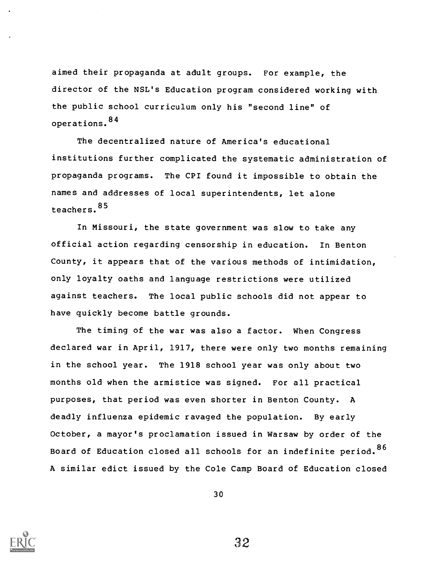aimed their propaganda at adult groups. For example, the director of the NSL's Education program considered working with the public school curriculum only his "second line" of operations. <sup>84</sup>

The decentralized nature of America's educational institutions further complicated the systematic administration of propaganda programs. The CPI found it impossible to obtain the names and addresses of local superintendents, let alone teachers. <sup>85</sup>

In Missouri, the state government was slow to take any official action regarding censorship in education. In Benton County, it appears that of the various methods of intimidation, only loyalty oaths and language restrictions were utilized against teachers. The local public schools did not appear to have quickly become battle grounds.

The timing of the war was also a factor. When Congress declared war in April, 1917, there were only two months remaining in the school year. The 1918 school year was only about two months old when the armistice was signed. For all practical purposes, that period was even shorter in Benton County. A deadly influenza epidemic ravaged the population. By early October, a mayor's proclamation issued in Warsaw by order of the Board of Education closed all schools for an indefinite period. 86 A similar edict issued by the Cole Camp Board of Education closed



30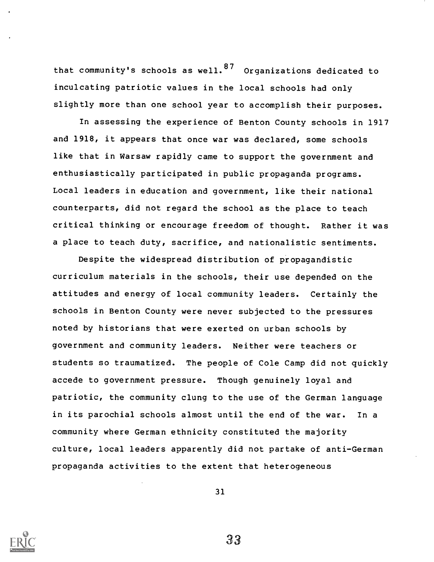that community's schools as well.  $87$  Organizations dedicated to inculcating patriotic values in the local schools had only slightly more than one school year to accomplish their purposes.

In assessing the experience of Benton County schools in 1917 and 1918, it appears that once war was declared, some schools like that in Warsaw rapidly came to support the government and enthusiastically participated in public propaganda programs. Local leaders in education and government, like their national counterparts, did not regard the school as the place to teach critical thinking or encourage freedom of thought. Rather it was a place to teach duty, sacrifice, and nationalistic sentiments.

Despite the widespread distribution of propagandistic curriculum materials in the schools, their use depended on the attitudes and energy of local community leaders. Certainly the schools in Benton County were never subjected to the pressures noted by historians that were exerted on urban schools by government and community leaders. Neither were teachers or students so traumatized. The people of Cole Camp did not quickly accede to government pressure. Though genuinely loyal and patriotic, the community clung to the use of the German language in its parochial schools almost until the end of the war. In a community where German ethnicity constituted the majority culture, local leaders apparently did not partake of anti-German propaganda activities to the extent that heterogeneous

31

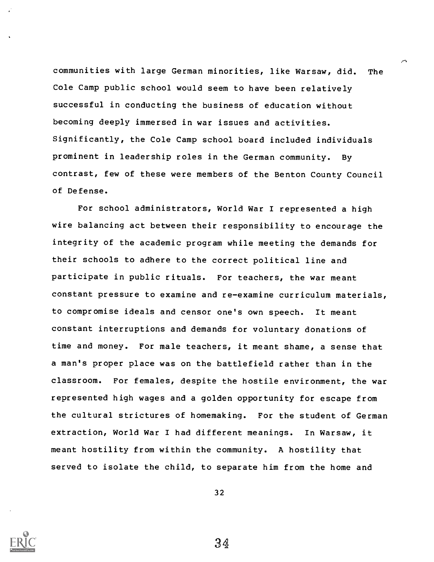communities with large German minorities, like Warsaw, did. The Cole Camp public school would seem to have been relatively successful in conducting the business of education without becoming deeply immersed in war issues and activities. Significantly, the Cole Camp school board included individuals prominent in leadership roles in the German community. By contrast, few of these were members of the Benton County Council of Defense.

For school administrators, World War I represented a high wire balancing act between their responsibility to encourage the integrity of the academic program while meeting the demands for their schools to adhere to the correct political line and participate in public rituals. For teachers, the war meant constant pressure to examine and re-examine curriculum materials, to compromise ideals and censor one's own speech. It meant constant interruptions and demands for voluntary donations of time and money. For male teachers, it meant shame, a sense that a man's proper place was on the battlefield rather than in the classroom. For females, despite the hostile environment, the war represented high wages and a golden opportunity for escape from the cultural strictures of homemaking. For the student of German extraction, World War I had different meanings. In Warsaw, it meant hostility from within the community. A hostility that served to isolate the child, to separate him from the home and

32

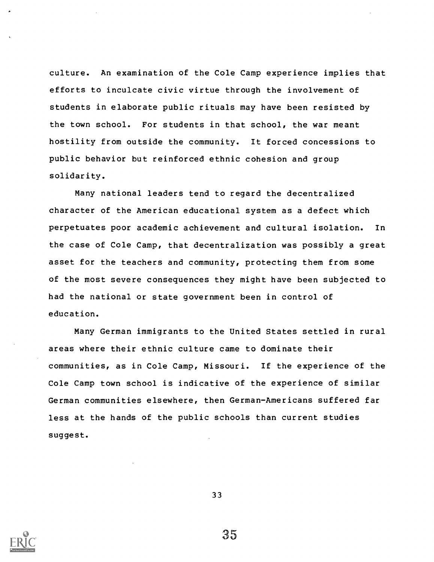culture. An examination of the Cole Camp experience implies that efforts to inculcate civic virtue through the involvement of students in elaborate public rituals may have been resisted by the town school. For students in that school, the war meant hostility from outside the community. It forced concessions to public behavior but reinforced ethnic cohesion and group solidarity.

Many national leaders tend to regard the decentralized character of the American educational system as a defect which perpetuates poor academic achievement and cultural isolation. In the case of Cole Camp, that decentralization was possibly a great asset for the teachers and community, protecting them from some of the most severe consequences they might have been subjected to had the national or state government been in control of education.

Many German immigrants to the United States settled in rural areas where their ethnic culture came to dominate their communities, as in Cole Camp, Missouri. If the experience of the Cole Camp town school is indicative of the experience of similar German communities elsewhere, then German-Americans suffered far less at the hands of the public schools than current studies suggest.

33

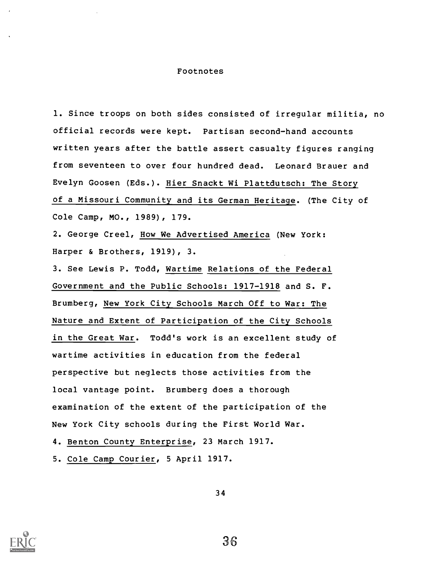#### Footnotes

1. Since troops on both sides consisted of irregular militia, no official records were kept. Partisan second-hand accounts written years after the battle assert casualty figures ranging from seventeen to over four hundred dead. Leonard Brauer and Evelyn Goosen (Eds.). Hier Snackt Wi Plattdutsch: The Story of a Missouri Community and its German Heritage. (The City of Cole Camp, MO., 1989), 179.

2. George Creel, How We Advertised America (New York: Harper & Brothers, 1919), 3.

3. See Lewis P. Todd, Wartime Relations of the Federal Government and the Public Schools: 1917-1918 and S. F. Brumberg, New York City Schools March Off to War: The Nature and Extent of Participation of the City Schools in the Great War. Todd's work is an excellent study of wartime activities in education from the federal perspective but neglects those activities from the local vantage point. Brumberg does a thorough examination of the extent of the participation of the New York City schools during the First World War.

4. Benton County Enterprise, 23 March 1917.

5. Cole Camp Courier, 5 April 1917.

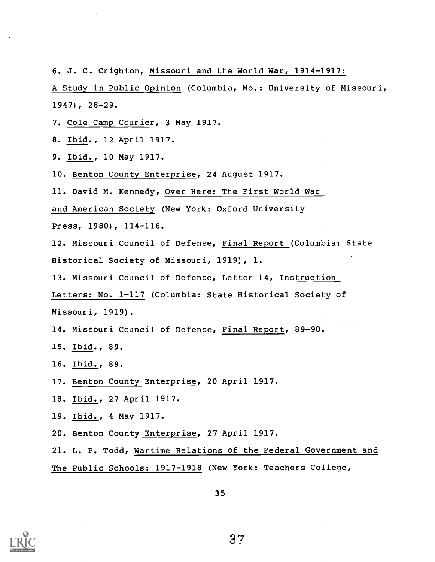6. J. C. Crighton, Missouri and the World War, 1914-1917:

A Study in Public Opinion (Columbia, Mo.: University of Missouri, 1947), 28-29.

- 7. Cole Camp Courier, 3 May 1917.
- 8. Ibid., 12 April 1917.
- 9. Ibid., 10 May 1917.
- 10. Benton County Enterprise, 24 August 1917.
- 11. David M. Kennedy, Over Here: The First World War

and American Society (New York: Oxford University

Press, 1980), 114-116.

12. Missouri Council of Defense, Final Report (Columbia: State Historical Society of Missouri, 1919), 1.

13. Missouri Council of Defense, Letter 14, Instruction

Letters: No. 1-117 (Columbia: State Historical Society of Missouri, 1919).

14. Missouri Council of Defense, Final Report, 89-90.

- 15. Ibid., 89.
- 16. Ibid., 89.
- 17. Benton County Enterprise, 20 April 1917.
- 18. Ibid., 27 April 1917.
- 19. Ibid., 4 May 1917.
- 20. Benton County Enterprise, 27 April 1917.

21. L. P. Todd, Wartime Relations of the Federal Government and The Public Schools: 1917-1918 (New York: Teachers College,

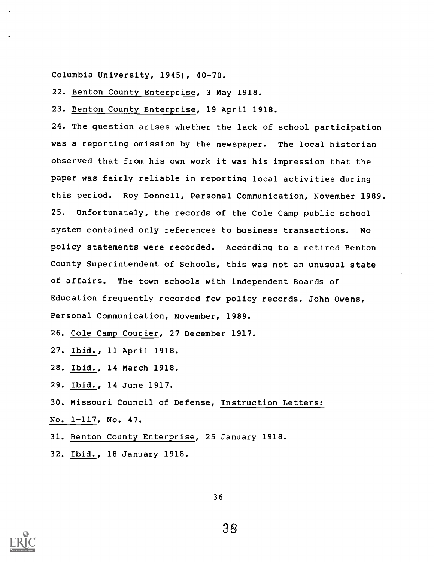Columbia University, 1945), 40-70.

22. Benton County Enterprise, 3 May 1918.

23. Benton County Enterprise, 19 April 1918.

24. The question arises whether the lack of school participation was a reporting omission by the newspaper. The local historian observed that from his own work it was his impression that the paper was fairly reliable in reporting local activities during this period. Roy Donnell, Personal Communication, November 1989. 25. Unfortunately, the records of the Cole Camp public school system contained only references to business transactions. No policy statements were recorded. According to a retired Benton County Superintendent of Schools, this was not an unusual state of affairs. The town schools with independent Boards of Education frequently recorded few policy records. John Owens, Personal Communication, November, 1989.

26. Cole Camp Courier, 27 December 1917.

- 27. Ibid., 11 April 1918.
- 28. Ibid., 14 March 1918.
- 29. Ibid., 14 June 1917.
- 30. Missouri Council of Defense, Instruction Letters:
- No. 1-117, No. 47.
- 31. Benton County Enterprise, 25 January 1918.
- 32. Ibid., 18 January 1918.



36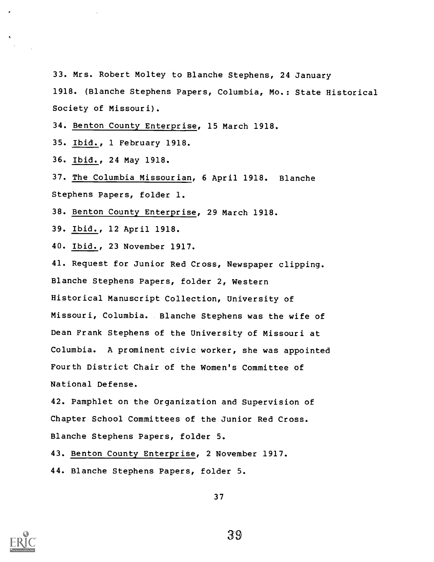33. Mrs. Robert Moltey to Blanche Stephens, 24 January 1918. (Blanche Stephens Papers, Columbia, Mo.: State Historical Society of Missouri).

34. Benton County Enterprise, 15 March 1918.

35. Ibid., 1 February 1918.

36. Ibid., 24 May 1918.

37. The Columbia Missourian, 6 April 1918. Blanche Stephens Papers, folder 1.

38. Benton County Enterprise, 29 March 1918.

39. Ibid., 12 April 1918.

40. Ibid., 23 November 1917.

41. Request for Junior Red Cross, Newspaper clipping. Blanche Stephens Papers, folder 2, Western Historical Manuscript Collection, University of Missouri, Columbia. Blanche Stephens was the wife of Dean Frank Stephens of the University of Missouri at Columbia. A prominent civic worker, she was appointed Fourth District Chair of the Women's Committee of National Defense.

42. Pamphlet on the Organization and Supervision of Chapter School Committees of the Junior Red Cross. Blanche Stephens Papers, folder 5.

43. Benton County Enterprise, 2 November 1917.

44. Blanche Stephens Papers, folder 5.

37

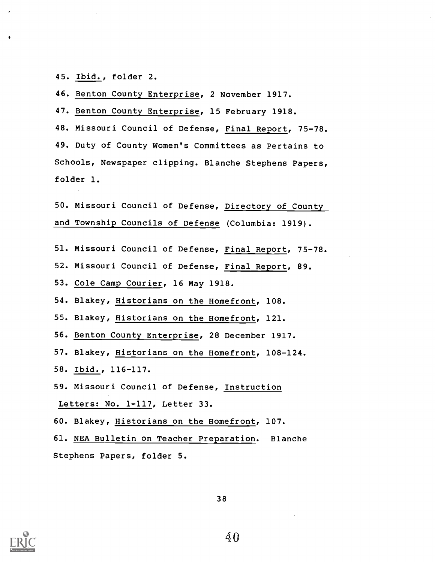45. Ibid., folder 2.

 $\bullet$ 

46. Benton County Enterprise, 2 November 1917.

47. Benton County Enterprise, 15 February 1918.

48. Missouri Council of Defense, Final Report, 75-78. 49. Duty of County Women's Committees as Pertains to Schools, Newspaper clipping. Blanche Stephens Papers, folder 1.

50. Missouri Council of Defense, Directory of County and Township Councils of Defense (Columbia: 1919).

51. Missouri Council of Defense, Final Report, 75-78.

52. Missouri Council of Defense, Final Report, 89.

53. Cole Camp Courier, 16 May 1918.

54. Blakey, Historians on the Homefront, 108.

55. Blakey, Historians on the Homefront, 121.

56. Benton County Enterprise, 28 December 1917.

57. Blakey, Historians on the Homefront, 108-124.

58. Ibid., 116-117.

59. Missouri Council of Defense, Instruction Letters: No. 1-117, Letter 33.

60. Blakey, Historians on the Homefront, 107.

61. NEA Bulletin on Teacher Preparation. Blanche Stephens Papers, folder 5.

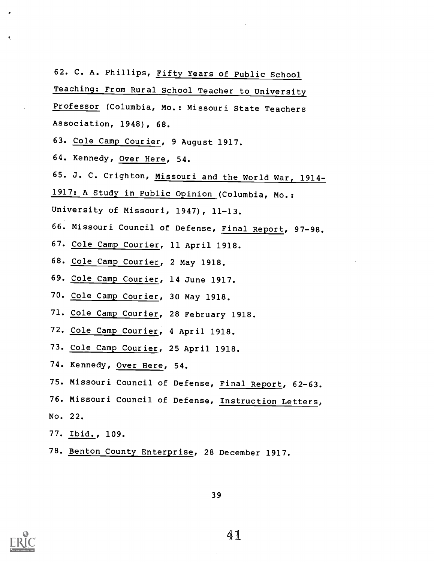62. C. A. Phillips, Fifty Years of Public School

Teaching: From Rural School Teacher to University

Professor (Columbia, Mo.: Missouri State Teachers Association, 1948), 68.

- 63. Cole Camp Courier, 9 August 1917.
- 64. Kennedy, Over Here, 54.
- 65. J. C. Crighton, Missouri and the World War, 1914-
- 1917: A Study in Public Opinion (Columbia, Mo.:
- University of Missouri, 1947), 11-13.
- 66. Missouri Council of Defense, Final Report, 97-98.
- 67. Cole Camp Courier, 11 April 1918.
- 68. Cole Camp Courier, 2 May 1918.
- 69. Cole Camp Courier, 14 June 1917.
- 70. Cole Camp Courier, 30 May 1918.
- 71. Cole Camp Courier, 28 February 1918.
- 72. Cole Camp Courier, 4 April 1918.
- 73. Cole Camp Courier, 25 April 1918.
- 74. Kennedy, Over Here, 54.
- 75. Missouri Council of Defense, Final Report, 62-63.
- 76. Missouri Council of Defense, Instruction Letters,
- No. 22.
- 77. Ibid., 109.
- 78. Benton County Enterprise, 28 December 1917.





A<sub>nd</sub> and a structure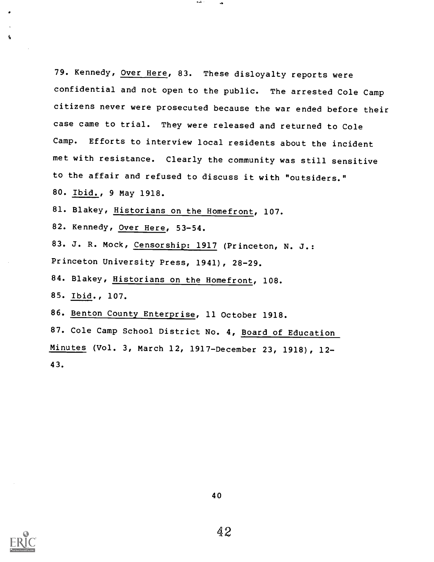79. Kennedy, Over Here, 83. These disloyalty reports were confidential and not open to the public. The arrested Cole Camp citizens never were prosecuted because the war ended before their case came to trial. They were released and returned to Cole Camp. Efforts to interview local residents about the incident met with resistance. Clearly the community was still sensitive to the affair and refused to discuss it with "outsiders." 80. Ibid., 9 May 1918.

81. Blakey, Historians on the Homefront, 107.

82. Kennedy, Over Here, 53-54.

83. J. R. Mock, Censorship: 1917 (Princeton, N. J.: Princeton University Press, 1941), 28-29.

84. Blakey, Historians on the Homefront, 108.

85. Ibid., 107.

86. Benton County Enterprise, 11 October 1918.

87. Cole Camp School District No. 4, Board of Education Minutes (Vol. 3, March 12, 1917-December 23, 1918), 12- 43.



 $\Lambda$